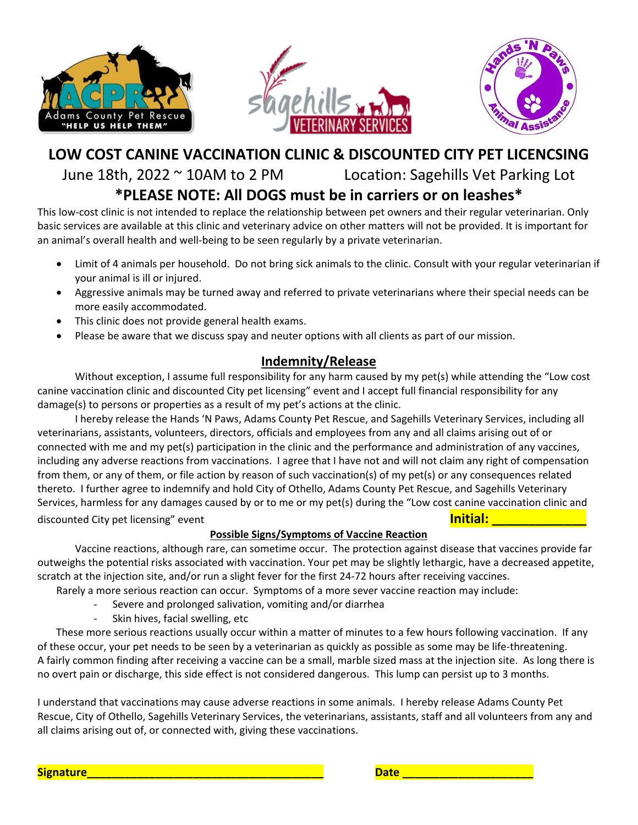





# **LOW COST CANINE VACCINATION CLINIC & DISCOUNTED CITY PET LICENCSING** June 18th, 2022 ~ 10AM to 2 PM Location: Sagehills Vet Parking Lot

### **\*PLEASE NOTE: All DOGS must be in carriers or on leashes\***

This low-cost clinic is not intended to replace the relationship between pet owners and their regular veterinarian. Only basic services are available at this clinic and veterinary advice on other matters will not be provided. It is important for an animal's overall health and well-being to be seen regularly by a private veterinarian.

- Limit of 4 animals per household. Do not bring sick animals to the clinic. Consult with your regular veterinarian if your animal is ill or injured.
- Aggressive animals may be turned away and referred to private veterinarians where their special needs can be more easily accommodated.
- This clinic does not provide general health exams.
- Please be aware that we discuss spay and neuter options with all clients as part of our mission.

### **Indemnity/Release**

Without exception, I assume full responsibility for any harm caused by my pet(s) while attending the "Low cost canine vaccination clinic and discounted City pet licensing" event and I accept full financial responsibility for any damage(s) to persons or properties as a result of my pet's actions at the clinic.

I hereby release the Hands 'N Paws, Adams County Pet Rescue, and Sagehills Veterinary Services, including all veterinarians, assistants, volunteers, directors, officials and employees from any and all claims arising out of or connected with me and my pet(s) participation in the clinic and the performance and administration of any vaccines, including any adverse reactions from vaccinations. I agree that I have not and will not claim any right of compensation from them, or any of them, or file action by reason of such vaccination(s) of my pet(s) or any consequences related thereto. I further agree to indemnify and hold City of Othello, Adams County Pet Rescue, and Sagehills Veterinary Services, harmless for any damages caused by or to me or my pet(s) during the "Low cost canine vaccination clinic and discounted City pet licensing" event **Initial: Initial: Initial: Initial: Initial: Initial: Initial: Initial: Initial: Initial: Initial: Initial: Initial: Initial: Initial: Initial: Initial:** 

#### **Possible Signs/Symptoms of Vaccine Reaction**

Vaccine reactions, although rare, can sometime occur. The protection against disease that vaccines provide far outweighs the potential risks associated with vaccination. Your pet may be slightly lethargic, have a decreased appetite, scratch at the injection site, and/or run a slight fever for the first 24-72 hours after receiving vaccines.

Rarely a more serious reaction can occur. Symptoms of a more sever vaccine reaction may include:

- Severe and prolonged salivation, vomiting and/or diarrhea
- Skin hives, facial swelling, etc

These more serious reactions usually occur within a matter of minutes to a few hours following vaccination. If any of these occur, your pet needs to be seen by a veterinarian as quickly as possible as some may be life-threatening. A fairly common finding after receiving a vaccine can be a small, marble sized mass at the injection site. As long there is no overt pain or discharge, this side effect is not considered dangerous. This lump can persist up to 3 months.

I understand that vaccinations may cause adverse reactions in some animals. I hereby release Adams County Pet Rescue, City of Othello, Sagehills Veterinary Services, the veterinarians, assistants, staff and all volunteers from any and all claims arising out of, or connected with, giving these vaccinations.

**Signature\_\_\_\_\_\_\_\_\_\_\_\_\_\_\_\_\_\_\_\_\_\_\_\_\_\_\_\_\_\_\_\_\_\_\_\_\_\_ Date \_\_\_\_\_\_\_\_\_\_\_\_\_\_\_\_\_\_\_\_\_**